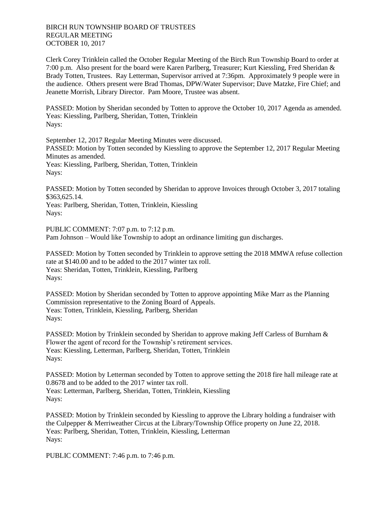BIRCH RUN TOWNSHIP BOARD OF TRUSTEES REGULAR MEETING OCTOBER 10, 2017

Clerk Corey Trinklein called the October Regular Meeting of the Birch Run Township Board to order at 7:00 p.m. Also present for the board were Karen Parlberg, Treasurer; Kurt Kiessling, Fred Sheridan & Brady Totten, Trustees. Ray Letterman, Supervisor arrived at 7:36pm. Approximately 9 people were in the audience. Others present were Brad Thomas, DPW/Water Supervisor; Dave Matzke, Fire Chief; and Jeanette Morrish, Library Director. Pam Moore, Trustee was absent.

PASSED: Motion by Sheridan seconded by Totten to approve the October 10, 2017 Agenda as amended. Yeas: Kiessling, Parlberg, Sheridan, Totten, Trinklein Nays:

September 12, 2017 Regular Meeting Minutes were discussed. PASSED: Motion by Totten seconded by Kiessling to approve the September 12, 2017 Regular Meeting Minutes as amended. Yeas: Kiessling, Parlberg, Sheridan, Totten, Trinklein Nays:

PASSED: Motion by Totten seconded by Sheridan to approve Invoices through October 3, 2017 totaling \$363,625.14.

Yeas: Parlberg, Sheridan, Totten, Trinklein, Kiessling Nays:

PUBLIC COMMENT: 7:07 p.m. to 7:12 p.m. Pam Johnson – Would like Township to adopt an ordinance limiting gun discharges.

PASSED: Motion by Totten seconded by Trinklein to approve setting the 2018 MMWA refuse collection rate at \$140.00 and to be added to the 2017 winter tax roll. Yeas: Sheridan, Totten, Trinklein, Kiessling, Parlberg Nays:

PASSED: Motion by Sheridan seconded by Totten to approve appointing Mike Marr as the Planning Commission representative to the Zoning Board of Appeals. Yeas: Totten, Trinklein, Kiessling, Parlberg, Sheridan Nays:

PASSED: Motion by Trinklein seconded by Sheridan to approve making Jeff Carless of Burnham & Flower the agent of record for the Township's retirement services. Yeas: Kiessling, Letterman, Parlberg, Sheridan, Totten, Trinklein Nays:

PASSED: Motion by Letterman seconded by Totten to approve setting the 2018 fire hall mileage rate at 0.8678 and to be added to the 2017 winter tax roll. Yeas: Letterman, Parlberg, Sheridan, Totten, Trinklein, Kiessling Nays:

PASSED: Motion by Trinklein seconded by Kiessling to approve the Library holding a fundraiser with the Culpepper & Merriweather Circus at the Library/Township Office property on June 22, 2018. Yeas: Parlberg, Sheridan, Totten, Trinklein, Kiessling, Letterman Nays:

PUBLIC COMMENT: 7:46 p.m. to 7:46 p.m.